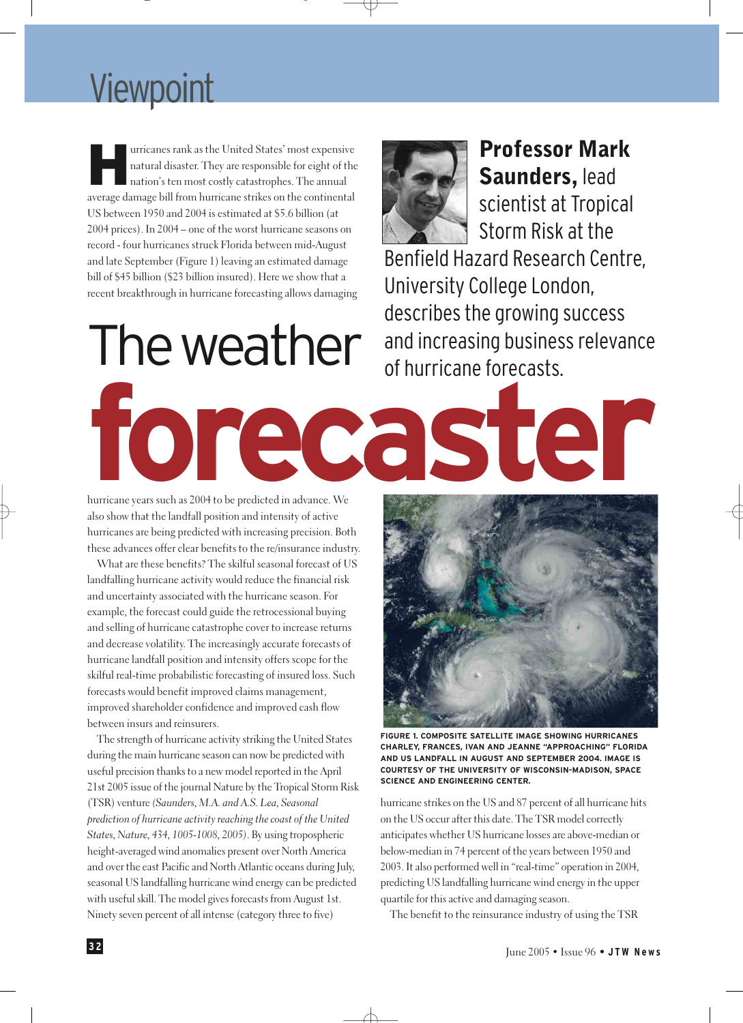## **Viewpoint**

Furricanes rank as the United States' most expensive<br>natural disaster. They are responsible for eight of the<br>nation's ten most costly catastrophes. The annual<br>average demograbill from burricane strikes on the continental natural disaster. They are responsible for eight of the average damage bill from hurricane strikes on the continental US between 1950 and 2004 is estimated at \$5.6 billion (at 2004 prices). In 2004 – one of the worst hurricane seasons on record - four hurricanes struck Florida between mid-August and late September (Figure 1) leaving an estimated damage bill of \$45 billion (\$23 billion insured). Here we show that a recent breakthrough in hurricane forecasting allows damaging

Professor Mark Saunders, lead scientist at Tropical Storm Risk at the

Benfield Hazard Research Centre, University College London, describes the growing success The weather and increasing business relevance

hurricane years such as 2004 to be predicted in advance. We also show that the landfall position and intensity of active hurricanes are being predicted with increasing precision. Both these advances offer clear benefits to the re/insurance industry.

**forecaster**

What are these benefits? The skilful seasonal forecast of US landfalling hurricane activity would reduce the financial risk and uncertainty associated with the hurricane season. For example, the forecast could guide the retrocessional buying and selling of hurricane catastrophe cover to increase returns and decrease volatility. The increasingly accurate forecasts of hurricane landfall position and intensity offers scope for the skilful real-time probabilistic forecasting of insured loss. Such forecasts would benefit improved claims management, improved shareholder confidence and improved cash flow between insurs and reinsurers.

The strength of hurricane activity striking the United States during the main hurricane season can now be predicted with useful precision thanks to a new model reported in the April 21st 2005 issue of the journal Nature by the Tropical Storm Risk (TSR) venture *(Saunders, M.A. and A.S. Lea, Seasonal prediction of hurricane activity reaching the coast of the United States, Nature, 434, 1005-1008, 2005)*. By using tropospheric height-averaged wind anomalies present over North America and over the east Pacific and North Atlantic oceans during July, seasonal US landfalling hurricane wind energy can be predicted with useful skill. The model gives forecasts from August 1st. Ninety seven percent of all intense (category three to five)



**FIGURE 1. COMPOSITE SATELLITE IMAGE SHOWING HURRICANES CHARLEY, FRANCES, IVAN AND JEANNE "APPROACHING" FLORIDA AND US LANDFALL IN AUGUST AND SEPTEMBER 2004. IMAGE IS COURTESY OF THE UNIVERSITY OF WISCONSIN-MADISON, SPACE SCIENCE AND ENGINEERING CENTER.**

hurricane strikes on the US and 87 percent of all hurricane hits on the US occur after this date. The TSR model correctly anticipates whether US hurricane losses are above-median or below-median in 74 percent of the years between 1950 and 2003. It also performed well in "real-time" operation in 2004, predicting US landfalling hurricane wind energy in the upper quartile for this active and damaging season.

The benefit to the reinsurance industry of using the TSR